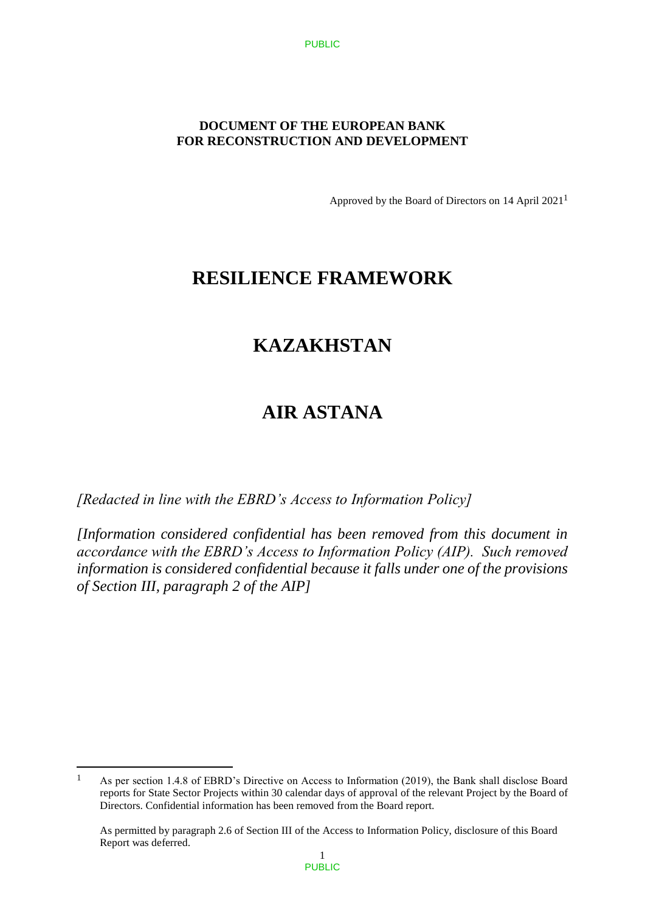### **DOCUMENT OF THE EUROPEAN BANK FOR RECONSTRUCTION AND DEVELOPMENT**

Approved by the Board of Directors on 14 April 20211

## **RESILIENCE FRAMEWORK**

# **KAZAKHSTAN**

# **AIR ASTANA**

*[Redacted in line with the EBRD's Access to Information Policy]* 

 $\overline{a}$ 

*[Information considered confidential has been removed from this document in accordance with the EBRD's Access to Information Policy (AIP). Such removed information is considered confidential because it falls under one of the provisions of Section III, paragraph 2 of the AIP]*

<sup>1</sup> As per section 1.4.8 of EBRD's Directive on Access to Information (2019), the Bank shall disclose Board reports for State Sector Projects within 30 calendar days of approval of the relevant Project by the Board of Directors. Confidential information has been removed from the Board report.

As permitted by paragraph 2.6 of Section III of the Access to Information Policy, disclosure of this Board Report was deferred.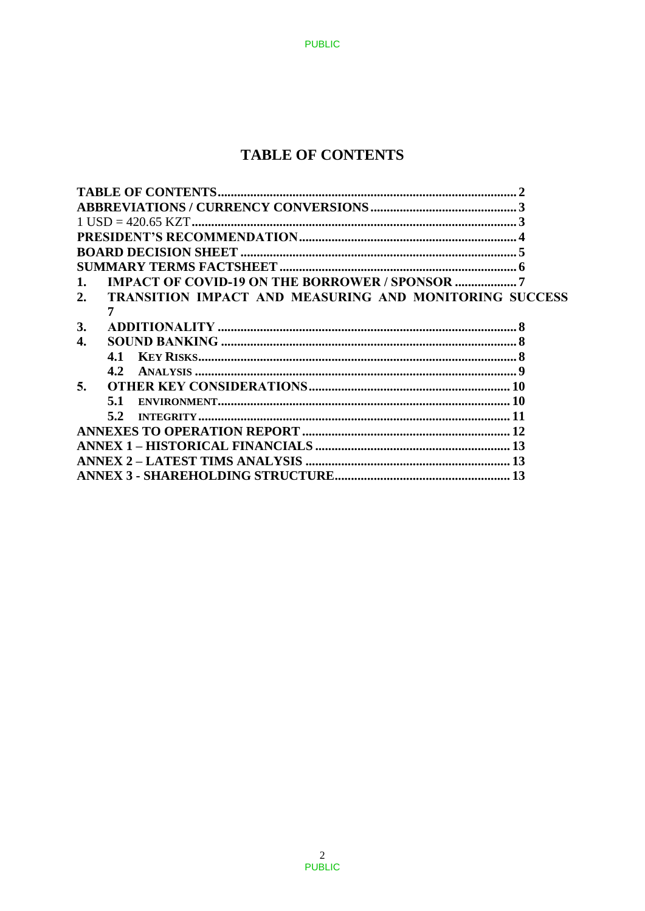## **TABLE OF CONTENTS**

**PUBLIC** 

| 1.        |                                                               |  |
|-----------|---------------------------------------------------------------|--|
| 2.        | <b>TRANSITION IMPACT AND MEASURING AND MONITORING SUCCESS</b> |  |
|           |                                                               |  |
| <b>3.</b> |                                                               |  |
| 4.        |                                                               |  |
|           | 4.1                                                           |  |
|           | $4.2^{\circ}$                                                 |  |
| 5.        |                                                               |  |
|           | 5.1                                                           |  |
|           | 5.2                                                           |  |
|           |                                                               |  |
|           |                                                               |  |
|           |                                                               |  |
|           |                                                               |  |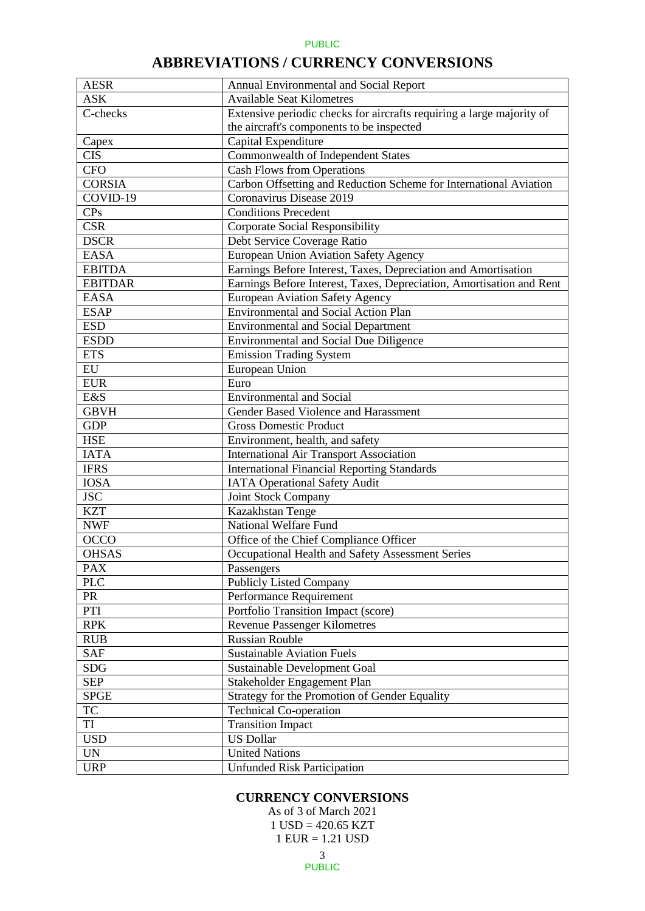## **ABBREVIATIONS / CURRENCY CONVERSIONS**

| <b>AESR</b>    | Annual Environmental and Social Report                                |
|----------------|-----------------------------------------------------------------------|
| <b>ASK</b>     | <b>Available Seat Kilometres</b>                                      |
| C-checks       | Extensive periodic checks for aircrafts requiring a large majority of |
|                | the aircraft's components to be inspected                             |
| Capex          | Capital Expenditure                                                   |
| <b>CIS</b>     | Commonwealth of Independent States                                    |
| <b>CFO</b>     | <b>Cash Flows from Operations</b>                                     |
| <b>CORSIA</b>  | Carbon Offsetting and Reduction Scheme for International Aviation     |
| $COVID-19$     | Coronavirus Disease 2019                                              |
| CPs            | <b>Conditions Precedent</b>                                           |
| <b>CSR</b>     | <b>Corporate Social Responsibility</b>                                |
| <b>DSCR</b>    | Debt Service Coverage Ratio                                           |
| <b>EASA</b>    | European Union Aviation Safety Agency                                 |
| <b>EBITDA</b>  | Earnings Before Interest, Taxes, Depreciation and Amortisation        |
| <b>EBITDAR</b> | Earnings Before Interest, Taxes, Depreciation, Amortisation and Rent  |
| <b>EASA</b>    | <b>European Aviation Safety Agency</b>                                |
| <b>ESAP</b>    | <b>Environmental and Social Action Plan</b>                           |
| <b>ESD</b>     | <b>Environmental and Social Department</b>                            |
| <b>ESDD</b>    | <b>Environmental and Social Due Diligence</b>                         |
| <b>ETS</b>     | <b>Emission Trading System</b>                                        |
| EU             | European Union                                                        |
| <b>EUR</b>     | Euro                                                                  |
| E&S            | <b>Environmental and Social</b>                                       |
| <b>GBVH</b>    | Gender Based Violence and Harassment                                  |
| <b>GDP</b>     | <b>Gross Domestic Product</b>                                         |
| <b>HSE</b>     | Environment, health, and safety                                       |
| <b>IATA</b>    | <b>International Air Transport Association</b>                        |
| <b>IFRS</b>    | <b>International Financial Reporting Standards</b>                    |
| <b>IOSA</b>    | <b>IATA Operational Safety Audit</b>                                  |
| <b>JSC</b>     | Joint Stock Company                                                   |
| <b>KZT</b>     | Kazakhstan Tenge                                                      |
| <b>NWF</b>     | National Welfare Fund                                                 |
| <b>OCCO</b>    | Office of the Chief Compliance Officer                                |
| <b>OHSAS</b>   | Occupational Health and Safety Assessment Series                      |
| <b>PAX</b>     | Passengers                                                            |
| <b>PLC</b>     | <b>Publicly Listed Company</b>                                        |
| <b>PR</b>      | Performance Requirement                                               |
| PTI            | Portfolio Transition Impact (score)                                   |
| <b>RPK</b>     | <b>Revenue Passenger Kilometres</b>                                   |
| <b>RUB</b>     | <b>Russian Rouble</b>                                                 |
| <b>SAF</b>     | <b>Sustainable Aviation Fuels</b>                                     |
| <b>SDG</b>     | <b>Sustainable Development Goal</b>                                   |
| <b>SEP</b>     | Stakeholder Engagement Plan                                           |
| <b>SPGE</b>    | Strategy for the Promotion of Gender Equality                         |
| <b>TC</b>      | <b>Technical Co-operation</b>                                         |
| TI             | <b>Transition Impact</b>                                              |
| <b>USD</b>     | <b>US Dollar</b>                                                      |
| <b>UN</b>      | <b>United Nations</b>                                                 |
| <b>URP</b>     | <b>Unfunded Risk Participation</b>                                    |

### **CURRENCY CONVERSIONS**

3 As of 3 of March 2021  $1$  USD = 420.65 KZT 1 EUR = 1.21 USD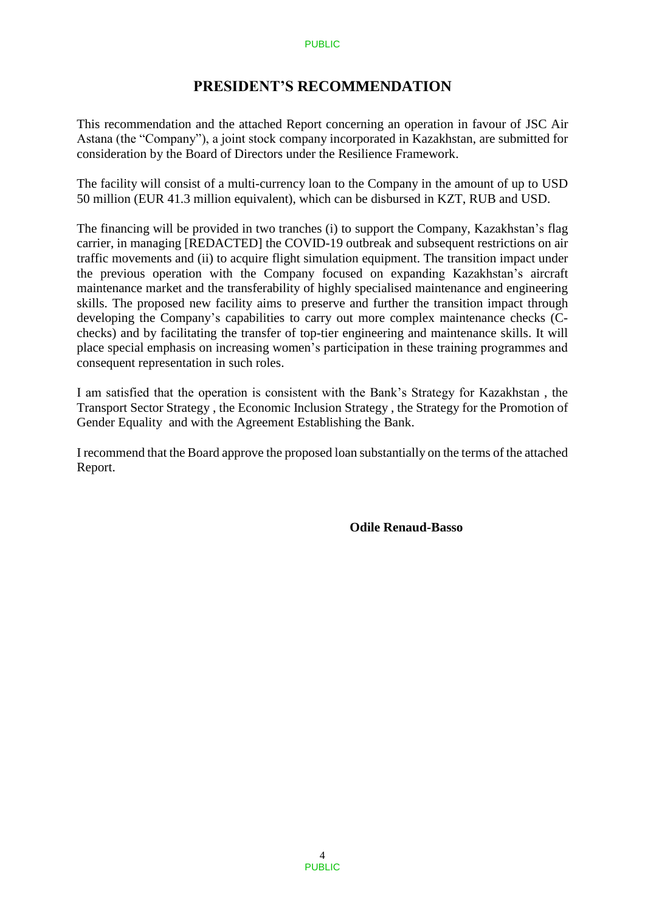## **PRESIDENT'S RECOMMENDATION**

This recommendation and the attached Report concerning an operation in favour of JSC Air Astana (the "Company"), a joint stock company incorporated in Kazakhstan, are submitted for consideration by the Board of Directors under the Resilience Framework.

The facility will consist of a multi-currency loan to the Company in the amount of up to USD 50 million (EUR 41.3 million equivalent), which can be disbursed in KZT, RUB and USD.

The financing will be provided in two tranches (i) to support the Company, Kazakhstan's flag carrier, in managing [REDACTED] the COVID-19 outbreak and subsequent restrictions on air traffic movements and (ii) to acquire flight simulation equipment. The transition impact under the previous operation with the Company focused on expanding Kazakhstan's aircraft maintenance market and the transferability of highly specialised maintenance and engineering skills. The proposed new facility aims to preserve and further the transition impact through developing the Company's capabilities to carry out more complex maintenance checks (Cchecks) and by facilitating the transfer of top-tier engineering and maintenance skills. It will place special emphasis on increasing women's participation in these training programmes and consequent representation in such roles.

I am satisfied that the operation is consistent with the Bank's Strategy for Kazakhstan , the Transport Sector Strategy , the Economic Inclusion Strategy , the Strategy for the Promotion of Gender Equality and with the Agreement Establishing the Bank.

I recommend that the Board approve the proposed loan substantially on the terms of the attached Report.

**Odile Renaud-Basso**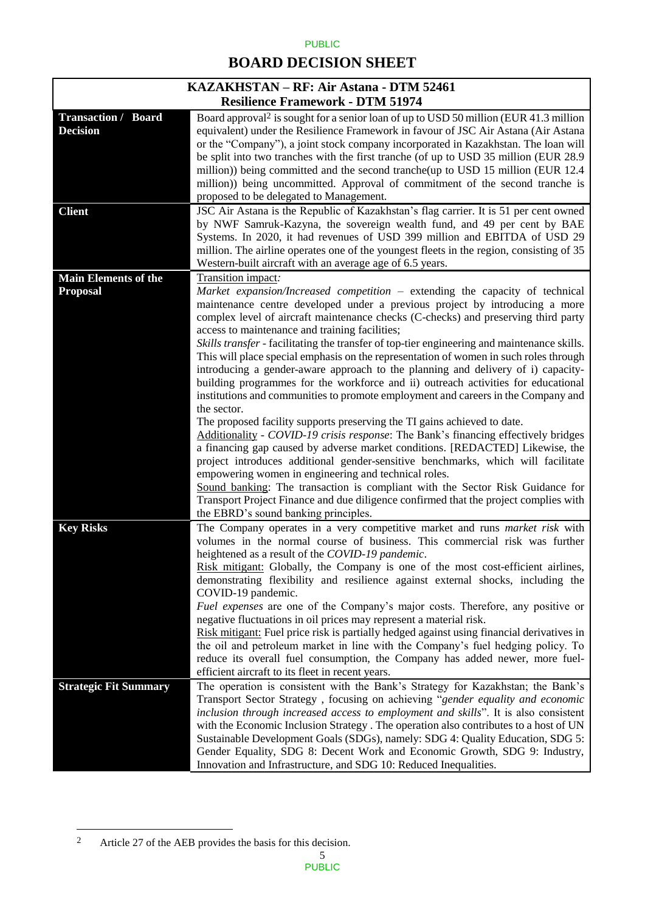# **BOARD DECISION SHEET**

| KAZAKHSTAN – RF: Air Astana - DTM 52461       |                                                                                                                                                                                                                                                                                                                                                                                                                                                                                                                                                                                                                                                                                                                                                                                                                                                                                                                                                                                                                             |  |
|-----------------------------------------------|-----------------------------------------------------------------------------------------------------------------------------------------------------------------------------------------------------------------------------------------------------------------------------------------------------------------------------------------------------------------------------------------------------------------------------------------------------------------------------------------------------------------------------------------------------------------------------------------------------------------------------------------------------------------------------------------------------------------------------------------------------------------------------------------------------------------------------------------------------------------------------------------------------------------------------------------------------------------------------------------------------------------------------|--|
|                                               | <b>Resilience Framework - DTM 51974</b>                                                                                                                                                                                                                                                                                                                                                                                                                                                                                                                                                                                                                                                                                                                                                                                                                                                                                                                                                                                     |  |
| <b>Transaction / Board</b><br><b>Decision</b> | Board approval <sup>2</sup> is sought for a senior loan of up to USD 50 million (EUR 41.3 million<br>equivalent) under the Resilience Framework in favour of JSC Air Astana (Air Astana<br>or the "Company"), a joint stock company incorporated in Kazakhstan. The loan will<br>be split into two tranches with the first tranche (of up to USD 35 million (EUR 28.9)<br>million)) being committed and the second tranche(up to USD 15 million (EUR 12.4<br>million)) being uncommitted. Approval of commitment of the second tranche is<br>proposed to be delegated to Management.                                                                                                                                                                                                                                                                                                                                                                                                                                        |  |
| <b>Client</b>                                 | JSC Air Astana is the Republic of Kazakhstan's flag carrier. It is 51 per cent owned<br>by NWF Samruk-Kazyna, the sovereign wealth fund, and 49 per cent by BAE<br>Systems. In 2020, it had revenues of USD 399 million and EBITDA of USD 29<br>million. The airline operates one of the youngest fleets in the region, consisting of 35<br>Western-built aircraft with an average age of 6.5 years.                                                                                                                                                                                                                                                                                                                                                                                                                                                                                                                                                                                                                        |  |
| <b>Main Elements of the</b>                   | Transition impact:                                                                                                                                                                                                                                                                                                                                                                                                                                                                                                                                                                                                                                                                                                                                                                                                                                                                                                                                                                                                          |  |
| Proposal                                      | Market expansion/Increased competition – extending the capacity of technical<br>maintenance centre developed under a previous project by introducing a more<br>complex level of aircraft maintenance checks (C-checks) and preserving third party<br>access to maintenance and training facilities;<br>Skills transfer - facilitating the transfer of top-tier engineering and maintenance skills.<br>This will place special emphasis on the representation of women in such roles through<br>introducing a gender-aware approach to the planning and delivery of i) capacity-<br>building programmes for the workforce and ii) outreach activities for educational<br>institutions and communities to promote employment and careers in the Company and<br>the sector.<br>The proposed facility supports preserving the TI gains achieved to date.<br>Additionality - COVID-19 crisis response: The Bank's financing effectively bridges<br>a financing gap caused by adverse market conditions. [REDACTED] Likewise, the |  |
|                                               | project introduces additional gender-sensitive benchmarks, which will facilitate<br>empowering women in engineering and technical roles.<br>Sound banking: The transaction is compliant with the Sector Risk Guidance for<br>Transport Project Finance and due diligence confirmed that the project complies with                                                                                                                                                                                                                                                                                                                                                                                                                                                                                                                                                                                                                                                                                                           |  |
|                                               | the EBRD's sound banking principles.                                                                                                                                                                                                                                                                                                                                                                                                                                                                                                                                                                                                                                                                                                                                                                                                                                                                                                                                                                                        |  |
| <b>Key Risks</b>                              | The Company operates in a very competitive market and runs market risk with<br>volumes in the normal course of business. This commercial risk was further<br>heightened as a result of the COVID-19 pandemic.<br>Risk mitigant: Globally, the Company is one of the most cost-efficient airlines,<br>demonstrating flexibility and resilience against external shocks, including the<br>COVID-19 pandemic.                                                                                                                                                                                                                                                                                                                                                                                                                                                                                                                                                                                                                  |  |
|                                               | Fuel expenses are one of the Company's major costs. Therefore, any positive or<br>negative fluctuations in oil prices may represent a material risk.<br>Risk mitigant: Fuel price risk is partially hedged against using financial derivatives in<br>the oil and petroleum market in line with the Company's fuel hedging policy. To<br>reduce its overall fuel consumption, the Company has added newer, more fuel-<br>efficient aircraft to its fleet in recent years.                                                                                                                                                                                                                                                                                                                                                                                                                                                                                                                                                    |  |
| <b>Strategic Fit Summary</b>                  | The operation is consistent with the Bank's Strategy for Kazakhstan; the Bank's                                                                                                                                                                                                                                                                                                                                                                                                                                                                                                                                                                                                                                                                                                                                                                                                                                                                                                                                             |  |
|                                               | Transport Sector Strategy, focusing on achieving "gender equality and economic<br>inclusion through increased access to employment and skills". It is also consistent<br>with the Economic Inclusion Strategy . The operation also contributes to a host of UN<br>Sustainable Development Goals (SDGs), namely: SDG 4: Quality Education, SDG 5:<br>Gender Equality, SDG 8: Decent Work and Economic Growth, SDG 9: Industry,                                                                                                                                                                                                                                                                                                                                                                                                                                                                                                                                                                                               |  |
|                                               | Innovation and Infrastructure, and SDG 10: Reduced Inequalities.                                                                                                                                                                                                                                                                                                                                                                                                                                                                                                                                                                                                                                                                                                                                                                                                                                                                                                                                                            |  |

 $\sqrt{2}$ Article 27 of the AEB provides the basis for this decision.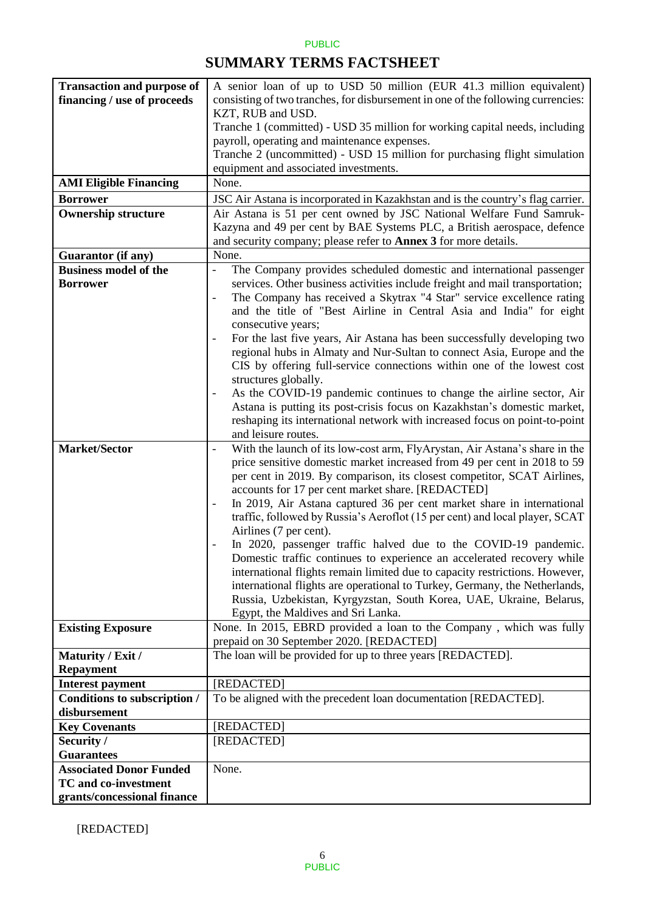## **SUMMARY TERMS FACTSHEET**

| <b>Transaction and purpose of</b> | A senior loan of up to USD 50 million (EUR 41.3 million equivalent)                               |  |
|-----------------------------------|---------------------------------------------------------------------------------------------------|--|
| financing / use of proceeds       | consisting of two tranches, for disbursement in one of the following currencies:                  |  |
|                                   | KZT, RUB and USD.                                                                                 |  |
|                                   | Tranche 1 (committed) - USD 35 million for working capital needs, including                       |  |
|                                   | payroll, operating and maintenance expenses.                                                      |  |
|                                   | Tranche 2 (uncommitted) - USD 15 million for purchasing flight simulation                         |  |
|                                   | equipment and associated investments.                                                             |  |
| <b>AMI Eligible Financing</b>     | None.                                                                                             |  |
|                                   |                                                                                                   |  |
| <b>Borrower</b>                   | JSC Air Astana is incorporated in Kazakhstan and is the country's flag carrier.                   |  |
| <b>Ownership structure</b>        | Air Astana is 51 per cent owned by JSC National Welfare Fund Samruk-                              |  |
|                                   | Kazyna and 49 per cent by BAE Systems PLC, a British aerospace, defence                           |  |
|                                   | and security company; please refer to <b>Annex 3</b> for more details.                            |  |
| <b>Guarantor</b> (if any)         | None.                                                                                             |  |
| <b>Business model of the</b>      | The Company provides scheduled domestic and international passenger<br>$\overline{\phantom{a}}$   |  |
| <b>Borrower</b>                   | services. Other business activities include freight and mail transportation;                      |  |
|                                   | The Company has received a Skytrax "4 Star" service excellence rating<br>$\overline{\phantom{0}}$ |  |
|                                   | and the title of "Best Airline in Central Asia and India" for eight                               |  |
|                                   | consecutive years;                                                                                |  |
|                                   | For the last five years, Air Astana has been successfully developing two                          |  |
|                                   | regional hubs in Almaty and Nur-Sultan to connect Asia, Europe and the                            |  |
|                                   | CIS by offering full-service connections within one of the lowest cost                            |  |
|                                   | structures globally.                                                                              |  |
|                                   | As the COVID-19 pandemic continues to change the airline sector, Air                              |  |
|                                   | Astana is putting its post-crisis focus on Kazakhstan's domestic market,                          |  |
|                                   | reshaping its international network with increased focus on point-to-point                        |  |
|                                   | and leisure routes.                                                                               |  |
| <b>Market/Sector</b>              | With the launch of its low-cost arm, FlyArystan, Air Astana's share in the<br>$\blacksquare$      |  |
|                                   | price sensitive domestic market increased from 49 per cent in 2018 to 59                          |  |
|                                   | per cent in 2019. By comparison, its closest competitor, SCAT Airlines,                           |  |
|                                   | accounts for 17 per cent market share. [REDACTED]                                                 |  |
|                                   | In 2019, Air Astana captured 36 per cent market share in international                            |  |
|                                   | traffic, followed by Russia's Aeroflot (15 per cent) and local player, SCAT                       |  |
|                                   | Airlines (7 per cent).                                                                            |  |
|                                   | In 2020, passenger traffic halved due to the COVID-19 pandemic.                                   |  |
|                                   | Domestic traffic continues to experience an accelerated recovery while                            |  |
|                                   | international flights remain limited due to capacity restrictions. However,                       |  |
|                                   | international flights are operational to Turkey, Germany, the Netherlands,                        |  |
|                                   | Russia, Uzbekistan, Kyrgyzstan, South Korea, UAE, Ukraine, Belarus,                               |  |
|                                   | Egypt, the Maldives and Sri Lanka.                                                                |  |
| <b>Existing Exposure</b>          | None. In 2015, EBRD provided a loan to the Company, which was fully                               |  |
|                                   | prepaid on 30 September 2020. [REDACTED]                                                          |  |
| Maturity / Exit /                 | The loan will be provided for up to three years [REDACTED].                                       |  |
| <b>Repayment</b>                  |                                                                                                   |  |
| <b>Interest payment</b>           | [REDACTED]                                                                                        |  |
| Conditions to subscription /      | To be aligned with the precedent loan documentation [REDACTED].                                   |  |
| disbursement                      |                                                                                                   |  |
| <b>Key Covenants</b>              | [REDACTED]                                                                                        |  |
| Security /                        | [REDACTED]                                                                                        |  |
| <b>Guarantees</b>                 |                                                                                                   |  |
| <b>Associated Donor Funded</b>    | None.                                                                                             |  |
| <b>TC</b> and co-investment       |                                                                                                   |  |
| grants/concessional finance       |                                                                                                   |  |

[REDACTED]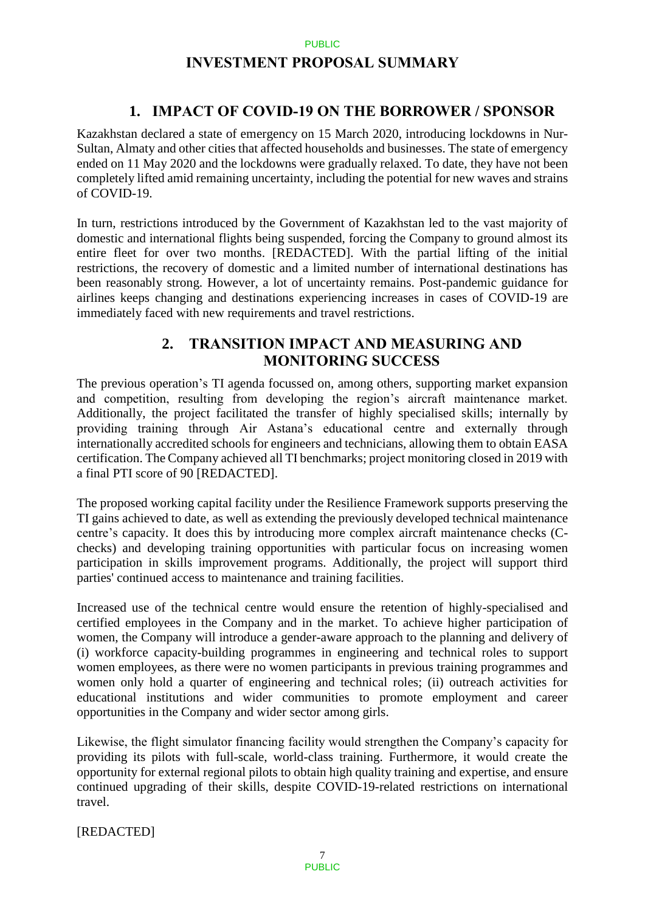## **INVESTMENT PROPOSAL SUMMARY**

## **1. IMPACT OF COVID-19 ON THE BORROWER / SPONSOR**

Kazakhstan declared a state of emergency on 15 March 2020, introducing lockdowns in Nur-Sultan, Almaty and other cities that affected households and businesses. The state of emergency ended on 11 May 2020 and the lockdowns were gradually relaxed. To date, they have not been completely lifted amid remaining uncertainty, including the potential for new waves and strains of COVID-19.

In turn, restrictions introduced by the Government of Kazakhstan led to the vast majority of domestic and international flights being suspended, forcing the Company to ground almost its entire fleet for over two months. [REDACTED]. With the partial lifting of the initial restrictions, the recovery of domestic and a limited number of international destinations has been reasonably strong. However, a lot of uncertainty remains. Post-pandemic guidance for airlines keeps changing and destinations experiencing increases in cases of COVID-19 are immediately faced with new requirements and travel restrictions.

## **2. TRANSITION IMPACT AND MEASURING AND MONITORING SUCCESS**

The previous operation's TI agenda focussed on, among others, supporting market expansion and competition, resulting from developing the region's aircraft maintenance market. Additionally, the project facilitated the transfer of highly specialised skills; internally by providing training through Air Astana's educational centre and externally through internationally accredited schools for engineers and technicians, allowing them to obtain EASA certification. The Company achieved all TI benchmarks; project monitoring closed in 2019 with a final PTI score of 90 [REDACTED].

The proposed working capital facility under the Resilience Framework supports preserving the TI gains achieved to date, as well as extending the previously developed technical maintenance centre's capacity. It does this by introducing more complex aircraft maintenance checks (Cchecks) and developing training opportunities with particular focus on increasing women participation in skills improvement programs. Additionally, the project will support third parties' continued access to maintenance and training facilities.

Increased use of the technical centre would ensure the retention of highly-specialised and certified employees in the Company and in the market. To achieve higher participation of women, the Company will introduce a gender-aware approach to the planning and delivery of (i) workforce capacity-building programmes in engineering and technical roles to support women employees, as there were no women participants in previous training programmes and women only hold a quarter of engineering and technical roles; (ii) outreach activities for educational institutions and wider communities to promote employment and career opportunities in the Company and wider sector among girls.

Likewise, the flight simulator financing facility would strengthen the Company's capacity for providing its pilots with full-scale, world-class training. Furthermore, it would create the opportunity for external regional pilots to obtain high quality training and expertise, and ensure continued upgrading of their skills, despite COVID-19-related restrictions on international travel.

[REDACTED]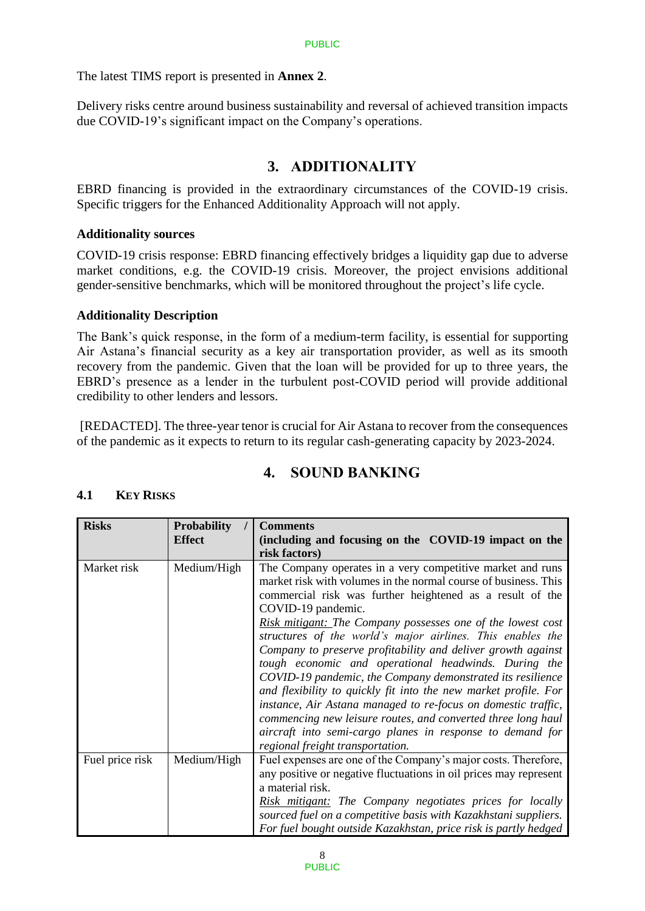The latest TIMS report is presented in **Annex 2**.

Delivery risks centre around business sustainability and reversal of achieved transition impacts due COVID-19's significant impact on the Company's operations.

## **3. ADDITIONALITY**

EBRD financing is provided in the extraordinary circumstances of the COVID-19 crisis. Specific triggers for the Enhanced Additionality Approach will not apply.

#### **Additionality sources**

COVID-19 crisis response: EBRD financing effectively bridges a liquidity gap due to adverse market conditions, e.g. the COVID-19 crisis. Moreover, the project envisions additional gender-sensitive benchmarks, which will be monitored throughout the project's life cycle.

#### **Additionality Description**

The Bank's quick response, in the form of a medium-term facility, is essential for supporting Air Astana's financial security as a key air transportation provider, as well as its smooth recovery from the pandemic. Given that the loan will be provided for up to three years, the EBRD's presence as a lender in the turbulent post-COVID period will provide additional credibility to other lenders and lessors.

[REDACTED]. The three-year tenor is crucial for Air Astana to recover from the consequences of the pandemic as it expects to return to its regular cash-generating capacity by 2023-2024.

## **4. SOUND BANKING**

### **4.1 KEY RISKS**

| <b>Risks</b>    | <b>Probability</b> | <b>Comments</b>                                                                                                                                                                                                                                                                                                                                                                                                                                                                                                                                                                                                                                                                                                                                                                                      |
|-----------------|--------------------|------------------------------------------------------------------------------------------------------------------------------------------------------------------------------------------------------------------------------------------------------------------------------------------------------------------------------------------------------------------------------------------------------------------------------------------------------------------------------------------------------------------------------------------------------------------------------------------------------------------------------------------------------------------------------------------------------------------------------------------------------------------------------------------------------|
|                 | <b>Effect</b>      | (including and focusing on the COVID-19 impact on the                                                                                                                                                                                                                                                                                                                                                                                                                                                                                                                                                                                                                                                                                                                                                |
|                 |                    | risk factors)                                                                                                                                                                                                                                                                                                                                                                                                                                                                                                                                                                                                                                                                                                                                                                                        |
| Market risk     | Medium/High        | The Company operates in a very competitive market and runs<br>market risk with volumes in the normal course of business. This<br>commercial risk was further heightened as a result of the<br>COVID-19 pandemic.<br>Risk mitigant: The Company possesses one of the lowest cost<br>structures of the world's major airlines. This enables the<br>Company to preserve profitability and deliver growth against<br>tough economic and operational headwinds. During the<br>COVID-19 pandemic, the Company demonstrated its resilience<br>and flexibility to quickly fit into the new market profile. For<br>instance, Air Astana managed to re-focus on domestic traffic,<br>commencing new leisure routes, and converted three long haul<br>aircraft into semi-cargo planes in response to demand for |
| Fuel price risk | Medium/High        | regional freight transportation.<br>Fuel expenses are one of the Company's major costs. Therefore,<br>any positive or negative fluctuations in oil prices may represent<br>a material risk.<br><b>Risk mitigant:</b> The Company negotiates prices for locally<br>sourced fuel on a competitive basis with Kazakhstani suppliers.<br>For fuel bought outside Kazakhstan, price risk is partly hedged                                                                                                                                                                                                                                                                                                                                                                                                 |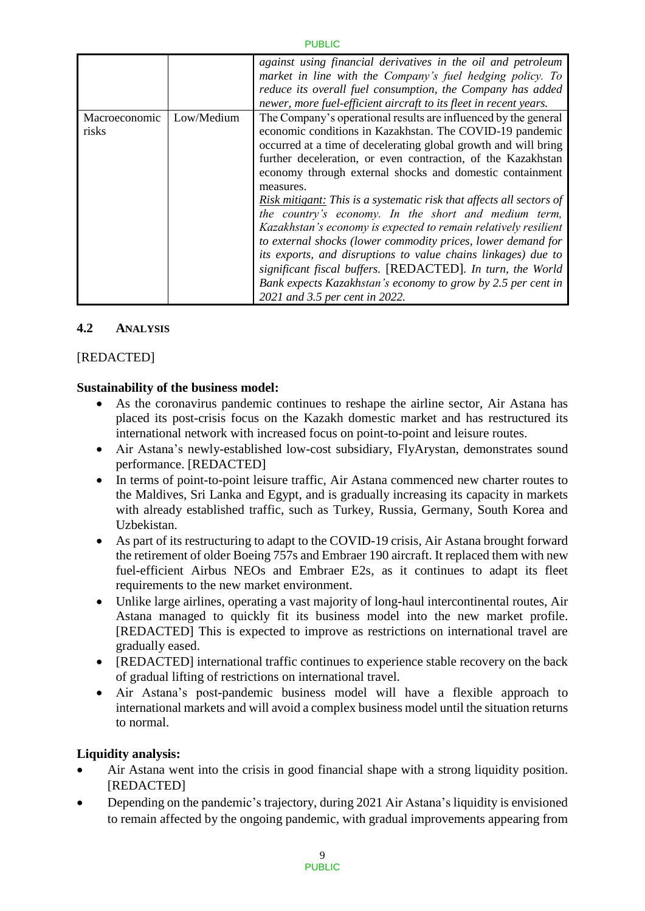|               |            | against using financial derivatives in the oil and petroleum<br>market in line with the Company's fuel hedging policy. To<br>reduce its overall fuel consumption, the Company has added<br>newer, more fuel-efficient aircraft to its fleet in recent years. |
|---------------|------------|--------------------------------------------------------------------------------------------------------------------------------------------------------------------------------------------------------------------------------------------------------------|
| Macroeconomic | Low/Medium | The Company's operational results are influenced by the general                                                                                                                                                                                              |
| risks         |            | economic conditions in Kazakhstan. The COVID-19 pandemic                                                                                                                                                                                                     |
|               |            | occurred at a time of decelerating global growth and will bring                                                                                                                                                                                              |
|               |            | further deceleration, or even contraction, of the Kazakhstan                                                                                                                                                                                                 |
|               |            | economy through external shocks and domestic containment                                                                                                                                                                                                     |
|               |            | measures.                                                                                                                                                                                                                                                    |
|               |            | Risk mitigant: This is a systematic risk that affects all sectors of                                                                                                                                                                                         |
|               |            | the country's economy. In the short and medium term,                                                                                                                                                                                                         |
|               |            | Kazakhstan's economy is expected to remain relatively resilient                                                                                                                                                                                              |
|               |            | to external shocks (lower commodity prices, lower demand for                                                                                                                                                                                                 |
|               |            | its exports, and disruptions to value chains linkages) due to                                                                                                                                                                                                |
|               |            | significant fiscal buffers. [REDACTED]. In turn, the World                                                                                                                                                                                                   |
|               |            |                                                                                                                                                                                                                                                              |
|               |            | Bank expects Kazakhstan's economy to grow by 2.5 per cent in                                                                                                                                                                                                 |
|               |            | 2021 and 3.5 per cent in 2022.                                                                                                                                                                                                                               |

### **4.2 ANALYSIS**

### [REDACTED]

### **Sustainability of the business model:**

- As the coronavirus pandemic continues to reshape the airline sector, Air Astana has placed its post-crisis focus on the Kazakh domestic market and has restructured its international network with increased focus on point-to-point and leisure routes.
- Air Astana's newly-established low-cost subsidiary, FlyArystan, demonstrates sound performance. [REDACTED]
- In terms of point-to-point leisure traffic, Air Astana commenced new charter routes to the Maldives, Sri Lanka and Egypt, and is gradually increasing its capacity in markets with already established traffic, such as Turkey, Russia, Germany, South Korea and Uzbekistan.
- As part of its restructuring to adapt to the COVID-19 crisis, Air Astana brought forward the retirement of older Boeing 757s and Embraer 190 aircraft. It replaced them with new fuel-efficient Airbus NEOs and Embraer E2s, as it continues to adapt its fleet requirements to the new market environment.
- Unlike large airlines, operating a vast majority of long-haul intercontinental routes, Air Astana managed to quickly fit its business model into the new market profile. [REDACTED] This is expected to improve as restrictions on international travel are gradually eased.
- [REDACTED] international traffic continues to experience stable recovery on the back of gradual lifting of restrictions on international travel.
- Air Astana's post-pandemic business model will have a flexible approach to international markets and will avoid a complex business model until the situation returns to normal.

## **Liquidity analysis:**

- Air Astana went into the crisis in good financial shape with a strong liquidity position. [REDACTED]
- Depending on the pandemic's trajectory, during 2021 Air Astana's liquidity is envisioned to remain affected by the ongoing pandemic, with gradual improvements appearing from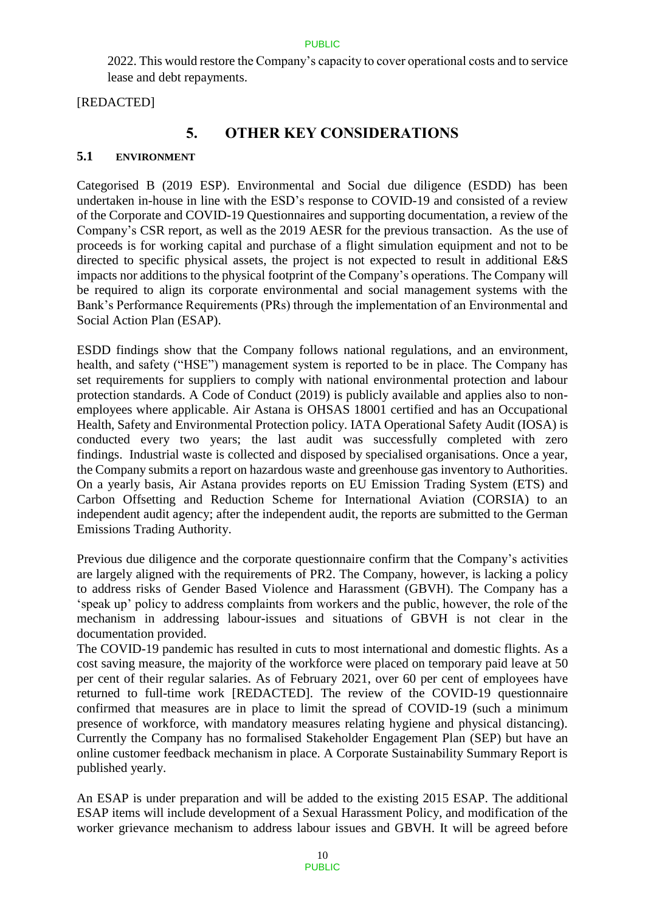2022. This would restore the Company's capacity to cover operational costs and to service lease and debt repayments.

[REDACTED]

## **5. OTHER KEY CONSIDERATIONS**

#### **5.1 ENVIRONMENT**

Categorised B (2019 ESP). Environmental and Social due diligence (ESDD) has been undertaken in-house in line with the ESD's response to COVID-19 and consisted of a review of the Corporate and COVID-19 Questionnaires and supporting documentation, a review of the Company's CSR report, as well as the 2019 AESR for the previous transaction. As the use of proceeds is for working capital and purchase of a flight simulation equipment and not to be directed to specific physical assets, the project is not expected to result in additional E&S impacts nor additions to the physical footprint of the Company's operations. The Company will be required to align its corporate environmental and social management systems with the Bank's Performance Requirements (PRs) through the implementation of an Environmental and Social Action Plan (ESAP).

ESDD findings show that the Company follows national regulations, and an environment, health, and safety ("HSE") management system is reported to be in place. The Company has set requirements for suppliers to comply with national environmental protection and labour protection standards. A Code of Conduct (2019) is publicly available and applies also to nonemployees where applicable. Air Astana is OHSAS 18001 certified and has an Occupational Health, Safety and Environmental Protection policy. IATA Operational Safety Audit (IOSA) is conducted every two years; the last audit was successfully completed with zero findings. Industrial waste is collected and disposed by specialised organisations. Once a year, the Company submits a report on hazardous waste and greenhouse gas inventory to Authorities. On a yearly basis, Air Astana provides reports on EU Emission Trading System (ETS) and Carbon Offsetting and Reduction Scheme for International Aviation (CORSIA) to an independent audit agency; after the independent audit, the reports are submitted to the German Emissions Trading Authority.

Previous due diligence and the corporate questionnaire confirm that the Company's activities are largely aligned with the requirements of PR2. The Company, however, is lacking a policy to address risks of Gender Based Violence and Harassment (GBVH). The Company has a 'speak up' policy to address complaints from workers and the public, however, the role of the mechanism in addressing labour-issues and situations of GBVH is not clear in the documentation provided.

The COVID-19 pandemic has resulted in cuts to most international and domestic flights. As a cost saving measure, the majority of the workforce were placed on temporary paid leave at 50 per cent of their regular salaries. As of February 2021, over 60 per cent of employees have returned to full-time work [REDACTED]. The review of the COVID-19 questionnaire confirmed that measures are in place to limit the spread of COVID-19 (such a minimum presence of workforce, with mandatory measures relating hygiene and physical distancing). Currently the Company has no formalised Stakeholder Engagement Plan (SEP) but have an online customer feedback mechanism in place. A Corporate Sustainability Summary Report is published yearly.

An ESAP is under preparation and will be added to the existing 2015 ESAP. The additional ESAP items will include development of a Sexual Harassment Policy, and modification of the worker grievance mechanism to address labour issues and GBVH. It will be agreed before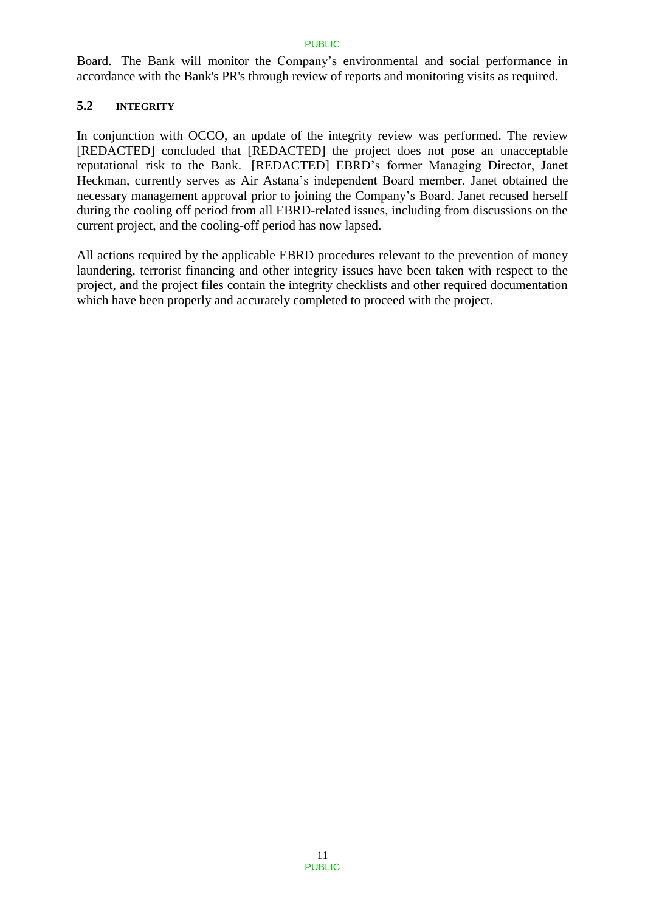Board. The Bank will monitor the Company's environmental and social performance in accordance with the Bank's PR's through review of reports and monitoring visits as required.

### **5.2 INTEGRITY**

In conjunction with OCCO, an update of the integrity review was performed. The review [REDACTED] concluded that [REDACTED] the project does not pose an unacceptable reputational risk to the Bank. [REDACTED] EBRD's former Managing Director, Janet Heckman, currently serves as Air Astana's independent Board member. Janet obtained the necessary management approval prior to joining the Company's Board. Janet recused herself during the cooling off period from all EBRD-related issues, including from discussions on the current project, and the cooling-off period has now lapsed.

All actions required by the applicable EBRD procedures relevant to the prevention of money laundering, terrorist financing and other integrity issues have been taken with respect to the project, and the project files contain the integrity checklists and other required documentation which have been properly and accurately completed to proceed with the project.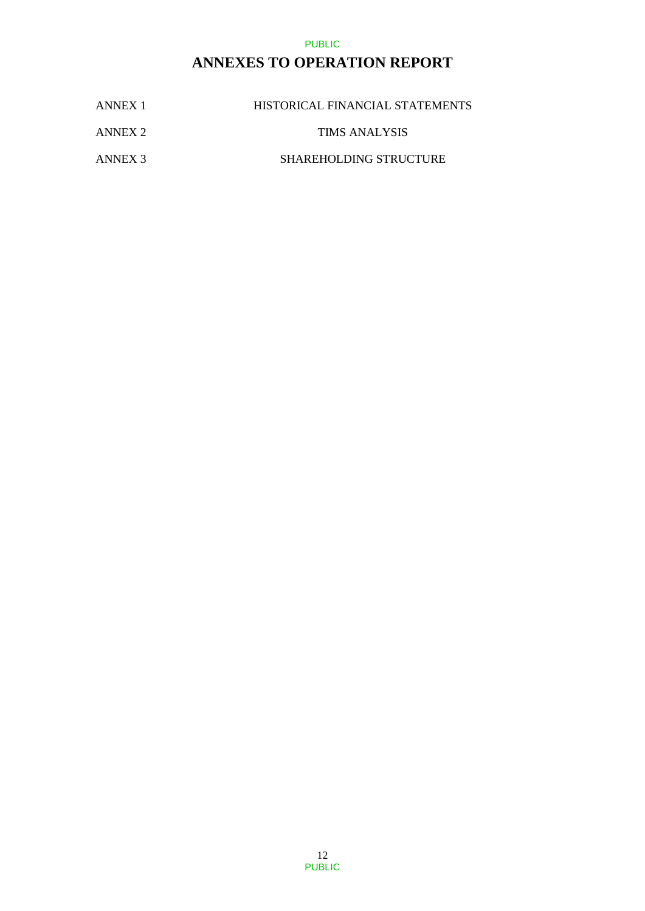## **ANNEXES TO OPERATION REPORT**

| ANNEX 1 | HISTORICAL FINANCIAL STATEMENTS |
|---------|---------------------------------|
| ANNEX 2 | TIMS ANALYSIS                   |
| ANNEX 3 | <b>SHAREHOLDING STRUCTURE</b>   |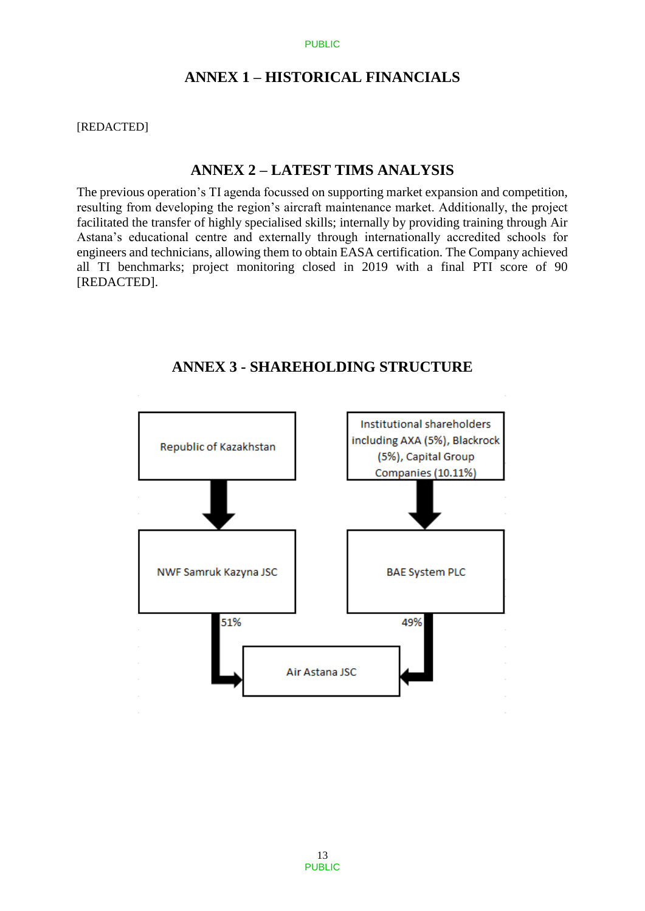## **ANNEX 1 – HISTORICAL FINANCIALS**

[REDACTED]

### **ANNEX 2 – LATEST TIMS ANALYSIS**

The previous operation's TI agenda focussed on supporting market expansion and competition, resulting from developing the region's aircraft maintenance market. Additionally, the project facilitated the transfer of highly specialised skills; internally by providing training through Air Astana's educational centre and externally through internationally accredited schools for engineers and technicians, allowing them to obtain EASA certification. The Company achieved all TI benchmarks; project monitoring closed in 2019 with a final PTI score of 90 [REDACTED].



## **ANNEX 3 - SHAREHOLDING STRUCTURE**